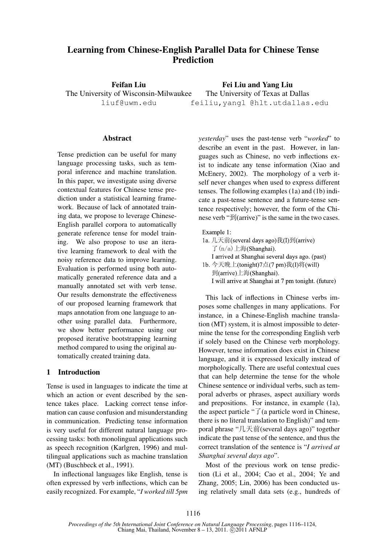# Learning from Chinese-English Parallel Data for Chinese Tense Prediction

Feifan Liu The University of Wisconsin-Milwaukee liuf@uwm.edu

Fei Liu and Yang Liu The University of Texas at Dallas feiliu,yangl @hlt.utdallas.edu

#### Abstract

Tense prediction can be useful for many language processing tasks, such as temporal inference and machine translation. In this paper, we investigate using diverse contextual features for Chinese tense prediction under a statistical learning framework. Because of lack of annotated training data, we propose to leverage Chinese-English parallel corpora to automatically generate reference tense for model training. We also propose to use an iterative learning framework to deal with the noisy reference data to improve learning. Evaluation is performed using both automatically generated reference data and a manually annotated set with verb tense. Our results demonstrate the effectiveness of our proposed learning framework that maps annotation from one language to another using parallel data. Furthermore, we show better performance using our proposed iterative bootstrapping learning method compared to using the original automatically created training data.

#### 1 Introduction

Tense is used in languages to indicate the time at which an action or event described by the sentence takes place. Lacking correct tense information can cause confusion and misunderstanding in communication. Predicting tense information is very useful for different natural language processing tasks: both monolingual applications such as speech recognition (Karlgren, 1996) and multilingual applications such as machine translation (MT) (Buschbeck et al., 1991).

In inflectional languages like English, tense is often expressed by verb inflections, which can be easily recognized. For example, "*I worked till 5pm* *yesterday*" uses the past-tense verb "*worked*" to describe an event in the past. However, in languages such as Chinese, no verb inflections exist to indicate any tense information (Xiao and McEnery, 2002). The morphology of a verb itself never changes when used to express different tenses. The following examples (1a) and (1b) indicate a past-tense sentence and a future-tense sentence respectively; however, the form of the Chinese verb " $\mathfrak{B}$ (arrive)" is the same in the two cases.

| Example 1:                                          |
|-----------------------------------------------------|
| 1a. 几天前(several days ago)我(I)到(arrive)              |
| $\mathcal{T}$ (n/a) 上海(Shanghai).                   |
| I arrived at Shanghai several days ago. (past)      |
| 1b. 今天晚上(tonight)7点(7 pm)我(I)将(will)                |
| 到(arrive)上海(Shanghai).                              |
| I will arrive at Shanghai at 7 pm tonight. (future) |

This lack of inflections in Chinese verbs imposes some challenges in many applications. For instance, in a Chinese-English machine translation (MT) system, it is almost impossible to determine the tense for the corresponding English verb if solely based on the Chinese verb morphology. However, tense information does exist in Chinese language, and it is expressed lexically instead of morphologically. There are useful contextual cues that can help determine the tense for the whole Chinese sentence or individual verbs, such as temporal adverbs or phrases, aspect auxiliary words and prepositions. For instance, in example (1a), the aspect particle " $\overrightarrow{J}$  (a particle word in Chinese, there is no literal translation to English)" and temporal phrase "几天前(several days ago)" together indicate the past tense of the sentence, and thus the correct translation of the sentence is "*I arrived at Shanghai several days ago*".

Most of the previous work on tense prediction (Li et al., 2004; Cao et al., 2004; Ye and Zhang, 2005; Lin, 2006) has been conducted using relatively small data sets (e.g., hundreds of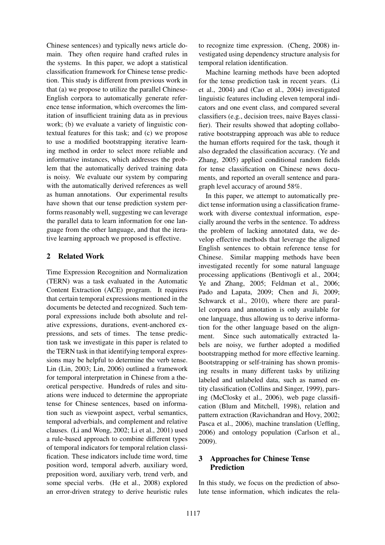Chinese sentences) and typically news article domain. They often require hand crafted rules in the systems. In this paper, we adopt a statistical classification framework for Chinese tense prediction. This study is different from previous work in that (a) we propose to utilize the parallel Chinese-English corpora to automatically generate reference tense information, which overcomes the limitation of insufficient training data as in previous work; (b) we evaluate a variety of linguistic contextual features for this task; and (c) we propose to use a modified bootstrapping iterative learning method in order to select more reliable and informative instances, which addresses the problem that the automatically derived training data is noisy. We evaluate our system by comparing with the automatically derived references as well as human annotations. Our experimental results have shown that our tense prediction system performs reasonably well, suggesting we can leverage the parallel data to learn information for one language from the other language, and that the iterative learning approach we proposed is effective.

## 2 Related Work

Time Expression Recognition and Normalization (TERN) was a task evaluated in the Automatic Content Extraction (ACE) program. It requires that certain temporal expressions mentioned in the documents be detected and recognized. Such temporal expressions include both absolute and relative expressions, durations, event-anchored expressions, and sets of times. The tense prediction task we investigate in this paper is related to the TERN task in that identifying temporal expressions may be helpful to determine the verb tense. Lin (Lin, 2003; Lin, 2006) outlined a framework for temporal interpretation in Chinese from a theoretical perspective. Hundreds of rules and situations were induced to determine the appropriate tense for Chinese sentences, based on information such as viewpoint aspect, verbal semantics, temporal adverbials, and complement and relative clauses. (Li and Wong, 2002; Li et al., 2001) used a rule-based approach to combine different types of temporal indicators for temporal relation classification. These indicators include time word, time position word, temporal adverb, auxiliary word, preposition word, auxiliary verb, trend verb, and some special verbs. (He et al., 2008) explored an error-driven strategy to derive heuristic rules

to recognize time expression. (Cheng, 2008) investigated using dependency structure analysis for temporal relation identification.

Machine learning methods have been adopted for the tense prediction task in recent years. (Li et al., 2004) and (Cao et al., 2004) investigated linguistic features including eleven temporal indicators and one event class, and compared several classifiers (e.g., decision trees, naive Bayes classifier). Their results showed that adopting collaborative bootstrapping approach was able to reduce the human efforts required for the task, though it also degraded the classification accuracy. (Ye and Zhang, 2005) applied conditional random fields for tense classification on Chinese news documents, and reported an overall sentence and paragraph level accuracy of around 58%.

In this paper, we attempt to automatically predict tense information using a classification framework with diverse contextual information, especially around the verbs in the sentence. To address the problem of lacking annotated data, we develop effective methods that leverage the aligned English sentences to obtain reference tense for Chinese. Similar mapping methods have been investigated recently for some natural language processing applications (Bentivogli et al., 2004; Ye and Zhang, 2005; Feldman et al., 2006; Pado and Lapata, 2009; Chen and Ji, 2009; Schwarck et al., 2010), where there are parallel corpora and annotation is only available for one language, thus allowing us to derive information for the other language based on the alignment. Since such automatically extracted labels are noisy, we further adopted a modified bootstrapping method for more effective learning. Bootstrapping or self-training has shown promising results in many different tasks by utilizing labeled and unlabeled data, such as named entity classification (Collins and Singer, 1999), parsing (McClosky et al., 2006), web page classification (Blum and Mitchell, 1998), relation and pattern extraction (Ravichandran and Hovy, 2002; Pasca et al., 2006), machine translation (Ueffing, 2006) and ontology population (Carlson et al., 2009).

## 3 Approaches for Chinese Tense Prediction

In this study, we focus on the prediction of absolute tense information, which indicates the rela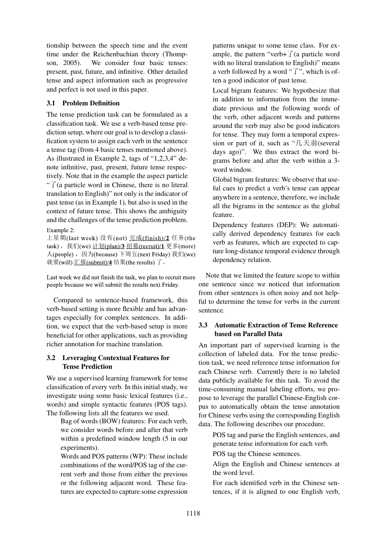tionship between the speech time and the event time under the Reichenbachian theory (Thompson, 2005). We consider four basic tenses: present, past, future, and infinitive. Other detailed tense and aspect information such as progressive and perfect is not used in this paper.

## 3.1 Problem Definition

The tense prediction task can be formulated as a classification task. We use a verb-based tense prediction setup, where our goal is to develop a classification system to assign each verb in the sentence a tense tag (from 4 basic tenses mentioned above). As illustrated in Example 2, tags of "1,2,3,4" denote infinitive, past, present, future tense respectively. Note that in the example the aspect particle " $\overrightarrow{J}$  (a particle word in Chinese, there is no literal translation to English)" not only is the indicator of past tense (as in Example 1), but also is used in the context of future tense. This shows the ambiguity and the challenges of the tense prediction problem.

Example 2:

上星期(last week) 没有(not) 完成(finish)/2 任务(the task), 我们(we) 计划(plan)/3 招募(recruit)/1 更多(more) 人(people), 因为(because) 下周五(next Friday) 我们(we) 就要(will) 汇报(submit)/4 结果(the results) 了。

Last week we did not finish the task, we plan to recruit more people because we will submit the results next Friday.

Compared to sentence-based framework, this verb-based setting is more flexible and has advantages especially for complex sentences. In addition, we expect that the verb-based setup is more beneficial for other applications, such as providing richer annotation for machine translation.

## 3.2 Leveraging Contextual Features for Tense Prediction

We use a supervised learning framework for tense classification of every verb. In this initial study, we investigate using some basic lexical features (i.e., words) and simple syntactic features (POS tags). The following lists all the features we used.

Bag of words (BOW) features: For each verb, we consider words before and after that verb within a predefined window length (5 in our experiments).

Words and POS patterns (WP): These include combinations of the word/POS tag of the current verb and those from either the previous or the following adjacent word. These features are expected to capture some expression patterns unique to some tense class. For example, the pattern "verb+ $\overrightarrow{J}$  (a particle word with no literal translation to English)" means a verb followed by a word " $\overrightarrow{J}$ ", which is often a good indicator of past tense.

Local bigram features: We hypothesize that in addition to information from the immediate previous and the following words of the verb, other adjacent words and patterns around the verb may also be good indicators for tense. They may form a temporal expression or part of it, such as " $\mathcal{L} \boxtimes \mathcal{L}$  fils (several days ago)". We thus extract the word bigrams before and after the verb within a 3 word window.

Global bigram features: We observe that useful cues to predict a verb's tense can appear anywhere in a sentence, therefore, we include all the bigrams in the sentence as the global feature.

Dependency features (DEP): We automatically derived dependency features for each verb as features, which are expected to capture long-distance temporal evidence through dependency relation.

Note that we limited the feature scope to within one sentence since we noticed that information from other sentences is often noisy and not helpful to determine the tense for verbs in the current sentence.

## 3.3 Automatic Extraction of Tense Reference based on Parallel Data

An important part of supervised learning is the collection of labeled data. For the tense prediction task, we need reference tense information for each Chinese verb. Currently there is no labeled data publicly available for this task. To avoid the time-consuming manual labeling efforts, we propose to leverage the parallel Chinese-English corpus to automatically obtain the tense annotation for Chinese verbs using the corresponding English data. The following describes our procedure.

POS tag and parse the English sentences, and generate tense information for each verb.

POS tag the Chinese sentences.

Align the English and Chinese sentences at the word level.

For each identified verb in the Chinese sentences, if it is aligned to one English verb,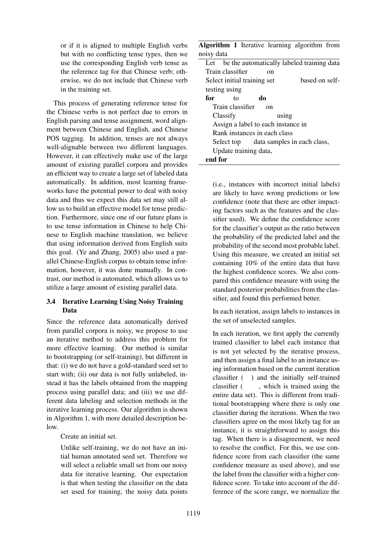or if it is aligned to multiple English verbs but with no conflicting tense types, then we use the corresponding English verb tense as the reference tag for that Chinese verb; otherwise, we do not include that Chinese verb in the training set.

This process of generating reference tense for the Chinese verbs is not perfect due to errors in English parsing and tense assignment, word alignment between Chinese and English, and Chinese POS tagging. In addition, tenses are not always well-alignable between two different languages. However, it can effectively make use of the large amount of existing parallel corpora and provides an efficient way to create a large set of labeled data automatically. In addition, most learning frameworks have the potential power to deal with noisy data and thus we expect this data set may still allow us to build an effective model for tense prediction. Furthermore, since one of our future plans is to use tense information in Chinese to help Chinese to English machine translation, we believe that using information derived from English suits this goal. (Ye and Zhang, 2005) also used a parallel Chinese-English corpus to obtain tense information, however, it was done manually. In contrast, our method is automated, which allows us to utilize a large amount of existing parallel data.

## 3.4 Iterative Learning Using Noisy Training Data

Since the reference data automatically derived from parallel corpora is noisy, we propose to use an iterative method to address this problem for more effective learning. Our method is similar to bootstrapping (or self-training), but different in that: (i) we do not have a gold-standard seed set to start with; (ii) our data is not fully unlabeled, instead it has the labels obtained from the mapping process using parallel data; and (iii) we use different data labeling and selection methods in the iterative learning process. Our algorithm is shown in Algorithm 1, with more detailed description below.

Create an initial set.

Unlike self-training, we do not have an initial human annotated seed set. Therefore we will select a reliable small set from our noisy data for iterative learning. Our expectation is that when testing the classifier on the data set used for training, the noisy data points

| Algorithm 1 Iterative learning algorithm from  |    |          |                |  |
|------------------------------------------------|----|----------|----------------|--|
| noisy data                                     |    |          |                |  |
| Let be the automatically labeled training data |    |          |                |  |
| Train classifier                               |    | on       |                |  |
| Select initial training set                    |    |          | based on self- |  |
| testing using                                  |    |          |                |  |
| for<br>tΩ                                      | do |          |                |  |
| Train classifier                               |    | $\alpha$ |                |  |
| Classify                                       |    | using    |                |  |
| Assign a label to each instance in             |    |          |                |  |
| Rank instances in each class                   |    |          |                |  |
| Select top data samples in each class,         |    |          |                |  |
| Update training data,                          |    |          |                |  |
| end for                                        |    |          |                |  |

(i.e., instances with incorrect initial labels) are likely to have wrong predictions or low confidence (note that there are other impacting factors such as the features and the classifier used). We define the confidence score for the classifier's output as the ratio between the probability of the predicted label and the probability of the second most probable label. Using this measure, we created an initial set containing 10% of the entire data that have the highest confidence scores. We also compared this confidence measure with using the standard posterior probabilities from the classifier, and found this performed better.

In each iteration, assign labels to instances in the set of unselected samples.

In each iteration, we first apply the currently trained classifier to label each instance that is not yet selected by the iterative process, and then assign a final label to an instance using information based on the current iteration classifier ( ) and the initially self-trained classifier (, which is trained using the entire data set). This is different from traditional bootstrapping where there is only one classifier during the iterations. When the two classifiers agree on the most likely tag for an instance, it is straightforward to assign this tag. When there is a disagreement, we need to resolve the conflict. For this, we use confidence score from each classifier (the same confidence measure as used above), and use the label from the classifier with a higher confidence score. To take into account of the difference of the score range, we normalize the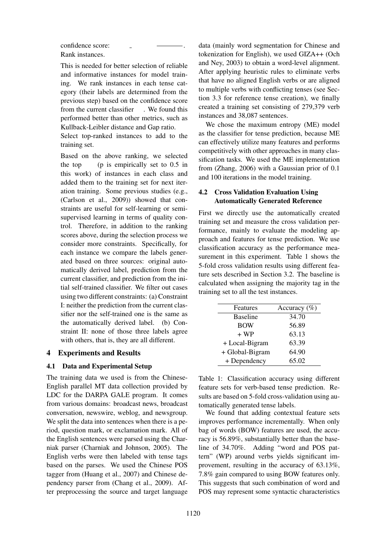confidence score: Rank instances.

This is needed for better selection of reliable and informative instances for model training. We rank instances in each tense category (their labels are determined from the previous step) based on the confidence score from the current classifier . We found this performed better than other metrics, such as Kullback-Leibler distance and Gap ratio.

 $\sim$ 

.

Select top-ranked instances to add to the training set.

Based on the above ranking, we selected the top  $(p \text{ is empirically set to } 0.5 \text{ in})$ this work) of instances in each class and added them to the training set for next iteration training. Some previous studies (e.g., (Carlson et al., 2009)) showed that constraints are useful for self-learning or semisupervised learning in terms of quality control. Therefore, in addition to the ranking scores above, during the selection process we consider more constraints. Specifically, for each instance we compare the labels generated based on three sources: original automatically derived label, prediction from the current classifier, and prediction from the initial self-trained classifier. We filter out cases using two different constraints: (a) Constraint I: neither the prediction from the current classifier nor the self-trained one is the same as the automatically derived label. (b) Constraint II: none of those three labels agree with others, that is, they are all different.

### 4 Experiments and Results

### 4.1 Data and Experimental Setup

The training data we used is from the Chinese-English parallel MT data collection provided by LDC for the DARPA GALE program. It comes from various domains: broadcast news, broadcast conversation, newswire, weblog, and newsgroup. We split the data into sentences when there is a period, question mark, or exclamation mark. All of the English sentences were parsed using the Charniak parser (Charniak and Johnson, 2005). The English verbs were then labeled with tense tags based on the parses. We used the Chinese POS tagger from (Huang et al., 2007) and Chinese dependency parser from (Chang et al., 2009). After preprocessing the source and target language

data (mainly word segmentation for Chinese and tokenization for English), we used GIZA++ (Och and Ney, 2003) to obtain a word-level alignment. After applying heuristic rules to eliminate verbs that have no aligned English verbs or are aligned to multiple verbs with conflicting tenses (see Section 3.3 for reference tense creation), we finally created a training set consisting of 279,379 verb instances and 38,087 sentences.

We chose the maximum entropy (ME) model as the classifier for tense prediction, because ME can effectively utilize many features and performs competitively with other approaches in many classification tasks. We used the ME implementation from (Zhang, 2006) with a Gaussian prior of 0.1 and 100 iterations in the model training.

### 4.2 Cross Validation Evaluation Using Automatically Generated Reference

First we directly use the automatically created training set and measure the cross validation performance, mainly to evaluate the modeling approach and features for tense prediction. We use classification accuracy as the performance measurement in this experiment. Table 1 shows the 5-fold cross validation results using different feature sets described in Section 3.2. The baseline is calculated when assigning the majority tag in the training set to all the test instances.

| Features        | Accuracy $(\% )$ |
|-----------------|------------------|
| <b>Baseline</b> | 34.70            |
| <b>BOW</b>      | 56.89            |
| $+ WP$          | 63.13            |
| + Local-Bigram  | 63.39            |
| + Global-Bigram | 64.90            |
| + Dependency    | 65.02            |

Table 1: Classification accuracy using different feature sets for verb-based tense prediction. Results are based on 5-fold cross-validation using automatically generated tense labels.

We found that adding contextual feature sets improves performance incrementally. When only bag of words (BOW) features are used, the accuracy is 56.89%, substantially better than the baseline of 34.70%. Adding "word and POS pattern" (WP) around verbs yields significant improvement, resulting in the accuracy of 63.13%, 7.8% gain compared to using BOW features only. This suggests that such combination of word and POS may represent some syntactic characteristics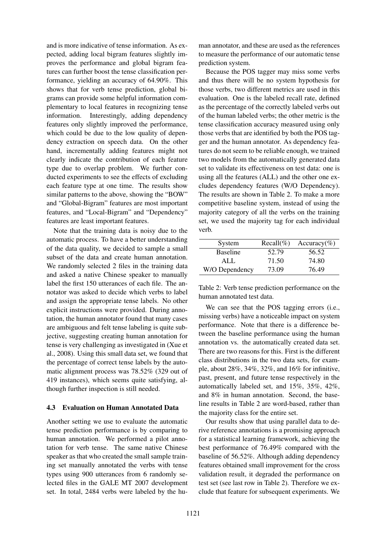and is more indicative of tense information. As expected, adding local bigram features slightly improves the performance and global bigram features can further boost the tense classification performance, yielding an accuracy of 64.90%. This shows that for verb tense prediction, global bigrams can provide some helpful information complementary to local features in recognizing tense information. Interestingly, adding dependency features only slightly improved the performance, which could be due to the low quality of dependency extraction on speech data. On the other hand, incrementally adding features might not clearly indicate the contribution of each feature type due to overlap problem. We further conducted experiments to see the effects of excluding each feature type at one time. The results show similar patterns to the above, showing the "BOW" and "Global-Bigram" features are most important features, and "Local-Bigram" and "Dependency" features are least important features.

Note that the training data is noisy due to the automatic process. To have a better understanding of the data quality, we decided to sample a small subset of the data and create human annotation. We randomly selected 2 files in the training data and asked a native Chinese speaker to manually label the first 150 utterances of each file. The annotator was asked to decide which verbs to label and assign the appropriate tense labels. No other explicit instructions were provided. During annotation, the human annotator found that many cases are ambiguous and felt tense labeling is quite subjective, suggesting creating human annotation for tense is very challenging as investigated in (Xue et al., 2008). Using this small data set, we found that the percentage of correct tense labels by the automatic alignment process was 78.52% (329 out of 419 instances), which seems quite satisfying, although further inspection is still needed.

#### 4.3 Evaluation on Human Annotated Data

Another setting we use to evaluate the automatic tense prediction performance is by comparing to human annotation. We performed a pilot annotation for verb tense. The same native Chinese speaker as that who created the small sample training set manually annotated the verbs with tense types using 900 utterances from 6 randomly selected files in the GALE MT 2007 development set. In total, 2484 verbs were labeled by the human annotator, and these are used as the references to measure the performance of our automatic tense prediction system.

Because the POS tagger may miss some verbs and thus there will be no system hypothesis for those verbs, two different metrics are used in this evaluation. One is the labeled recall rate, defined as the percentage of the correctly labeled verbs out of the human labeled verbs; the other metric is the tense classification accuracy measured using only those verbs that are identified by both the POS tagger and the human annotator. As dependency features do not seem to be reliable enough, we trained two models from the automatically generated data set to validate its effectiveness on test data: one is using all the features (ALL) and the other one excludes dependency features (W/O Dependency). The results are shown in Table 2. To make a more competitive baseline system, instead of using the majority category of all the verbs on the training set, we used the majority tag for each individual verb.

| System          | $Recall(\%)$ | Accuracy(%) |
|-----------------|--------------|-------------|
| <b>Baseline</b> | 52.79        | 56.52       |
| ALL.            | 71.50        | 74.80       |
| W/O Dependency  | 73.09        | 76.49       |

Table 2: Verb tense prediction performance on the human annotated test data.

We can see that the POS tagging errors (i.e., missing verbs) have a noticeable impact on system performance. Note that there is a difference between the baseline performance using the human annotation vs. the automatically created data set. There are two reasons for this. First is the different class distributions in the two data sets, for example, about 28%, 34%, 32%, and 16% for infinitive, past, present, and future tense respectively in the automatically labeled set, and 15%, 35%, 42%, and 8% in human annotation. Second, the baseline results in Table 2 are word-based, rather than the majority class for the entire set.

Our results show that using parallel data to derive reference annotations is a promising approach for a statistical learning framework, achieving the best performance of 76.49% compared with the baseline of 56.52%. Although adding dependency features obtained small improvement for the cross validation result, it degraded the performance on test set (see last row in Table 2). Therefore we exclude that feature for subsequent experiments. We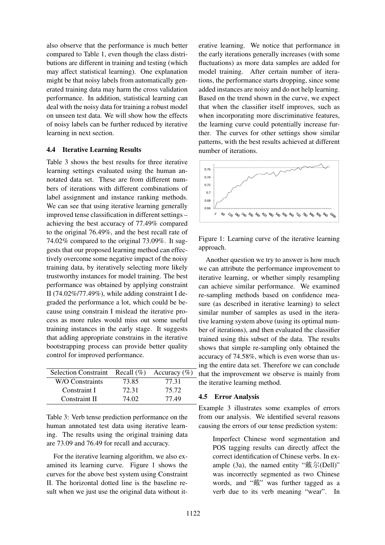also observe that the performance is much better compared to Table 1, even though the class distributions are different in training and testing (which may affect statistical learning). One explanation might be that noisy labels from automatically generated training data may harm the cross validation performance. In addition, statistical learning can deal with the noisy data for training a robust model on unseen test data. We will show how the effects of noisy labels can be further reduced by iterative learning in next section.

#### 4.4 Iterative Learning Results

Table 3 shows the best results for three iterative learning settings evaluated using the human annotated data set. These are from different numbers of iterations with different combinations of label assignment and instance ranking methods. We can see that using iterative learning generally improved tense classification in different settings – achieving the best accuracy of 77.49% compared to the original 76.49%, and the best recall rate of 74.02% compared to the original 73.09%. It suggests that our proposed learning method can effectively overcome some negative impact of the noisy training data, by iteratively selecting more likely trustworthy instances for model training. The best performance was obtained by applying constraint II (74.02%/77.49%), while adding constraint I degraded the performance a lot, which could be because using constrain I mislead the iterative process as more rules would miss out some useful training instances in the early stage. It suggests that adding appropriate constrains in the iterative bootstrapping process can provide better quality control for improved performance.

| <b>Selection Constraint</b> | Recall $(\%)$ | Accuracy $(\% )$ |
|-----------------------------|---------------|------------------|
| W/O Constraints             | 73.85         | 77.31            |
| Constraint I                | 72.31         | 75.72            |
| Constraint II               | 74.02         | 77.49            |

Table 3: Verb tense prediction performance on the human annotated test data using iterative learning. The results using the original training data are 73.09 and 76.49 for recall and accuracy.

For the iterative learning algorithm, we also examined its learning curve. Figure 1 shows the curves for the above best system using Constraint II. The horizontal dotted line is the baseline result when we just use the original data without it-

erative learning. We notice that performance in the early iterations generally increases (with some fluctuations) as more data samples are added for model training. After certain number of iterations, the performance starts dropping, since some added instances are noisy and do not help learning. Based on the trend shown in the curve, we expect that when the classifier itself improves, such as when incorporating more discriminative features, the learning curve could potentially increase further. The curves for other settings show similar patterns, with the best results achieved at different number of iterations.



Figure 1: Learning curve of the iterative learning approach.

Another question we try to answer is how much we can attribute the performance improvement to iterative learning, or whether simply resampling can achieve similar performance. We examined re-sampling methods based on confidence measure (as described in iterative learning) to select similar number of samples as used in the iterative learning system above (using its optimal number of iterations), and then evaluated the classifier trained using this subset of the data. The results shows that simple re-sampling only obtained the accuracy of 74.58%, which is even worse than using the entire data set. Therefore we can conclude that the improvement we observe is mainly from the iterative learning method.

#### 4.5 Error Analysis

Example 3 illustrates some examples of errors from our analysis. We identified several reasons causing the errors of our tense prediction system:

Imperfect Chinese word segmentation and POS tagging results can directly affect the correct identification of Chinese verbs. In example (3a), the named entity " $\frac{1}{R}$   $\frac{1}{N}$ (Dell)" was incorrectly segmented as two Chinese words, and "戴" was further tagged as a verb due to its verb meaning "wear". In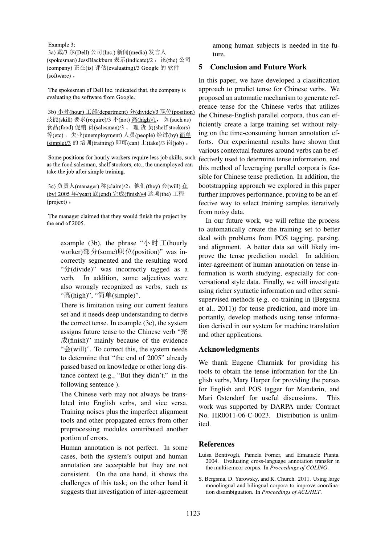Example 3:

3a) 戴/3 尔(Dell) 公司(Inc.) 新闻(media) 发言人 (spokesman) JessBlackburn 表示(indicate)/2, 该(the) 公司 (company) 正在(is) 评估(evaluating)/3 Google 的 软件 (software).

The spokesman of Dell Inc. indicated that, the company is evaluating the software from Google.

3b) 小时 (hour) 工部 (department) 分 (divide) / 3 职位 (position) 技能(skill) 要求(require)/3 不(not) 高(high)/1, 如(such as) 食品(food)促销员(salesman)/3、理货员(shelf stockers) 等(etc), 失业(unemployment) 人员(people) 经过(by) 简单 (simple)/3 的 培训(training) 即可(can) 上(take)/3 岗(job) 。

Some positions for hourly workers require less job skills, such as the food salesman, shelf stockers, etc., the unemployed can take the job after simple training.

3c) 负责人 (manager) 称 (claim)/2, 他们 (they) 会 (will) 在 (by) 2005 年(year) 底(end) 完成(finish)/4 这项(the) 工程 (project).

The manager claimed that they would finish the project by the end of 2005.

example (3b), the phrase " $\sqrt{\frac{1}{2}}$  (hourly worker)部分(some)职位(position)" was incorrectly segmented and the resulting word "©(divide)" was incorrectly tagged as a verb. In addition, some adjectives were also wrongly recognized as verbs, such as "高(high)", "简单(simple)".

There is limitation using our current feature set and it needs deep understanding to derive the correct tense. In example (3c), the system assigns future tense to the Chinese verb "完 §(finish)" mainly because of the evidence " $\triangleq$ (will)". To correct this, the system needs to determine that "the end of 2005" already passed based on knowledge or other long distance context (e.g., "But they didn't." in the following sentence ).

The Chinese verb may not always be translated into English verbs, and vice versa. Training noises plus the imperfect alignment tools and other propagated errors from other preprocessing modules contributed another portion of errors.

Human annotation is not perfect. In some cases, both the system's output and human annotation are acceptable but they are not consistent. On the one hand, it shows the challenges of this task; on the other hand it suggests that investigation of inter-agreement among human subjects is needed in the future.

## 5 Conclusion and Future Work

In this paper, we have developed a classification approach to predict tense for Chinese verbs. We proposed an automatic mechanism to generate reference tense for the Chinese verbs that utilizes the Chinese-English parallel corpora, thus can efficiently create a large training set without relying on the time-consuming human annotation efforts. Our experimental results have shown that various contextual features around verbs can be effectively used to determine tense information, and this method of leveraging parallel corpora is feasible for Chinese tense prediction. In addition, the bootstrapping approach we explored in this paper further improves performance, proving to be an effective way to select training samples iteratively from noisy data.

In our future work, we will refine the process to automatically create the training set to better deal with problems from POS tagging, parsing, and alignment. A better data set will likely improve the tense prediction model. In addition, inter-agreement of human annotation on tense information is worth studying, especially for conversational style data. Finally, we will investigate using richer syntactic information and other semisupervised methods (e.g. co-training in (Bergsma et al., 2011)) for tense prediction, and more importantly, develop methods using tense information derived in our system for machine translation and other applications.

### Acknowledgments

We thank Eugene Charniak for providing his tools to obtain the tense information for the English verbs, Mary Harper for providing the parses for English and POS tagger for Mandarin, and Mari Ostendorf for useful discussions. This work was supported by DARPA under Contract No. HR0011-06-C-0023. Distribution is unlimited.

### References

- Luisa Bentivogli, Pamela Forner, and Emanuele Pianta. 2004. Evaluating cross-language annotation transfer in the multisemcor corpus. In *Proceedings of COLING*.
- S. Bergsma, D. Yarowsky, and K. Church. 2011. Using large monolingual and bilingual corpora to improve coordination disambiguation. In *Proceedings of ACL/HLT*.